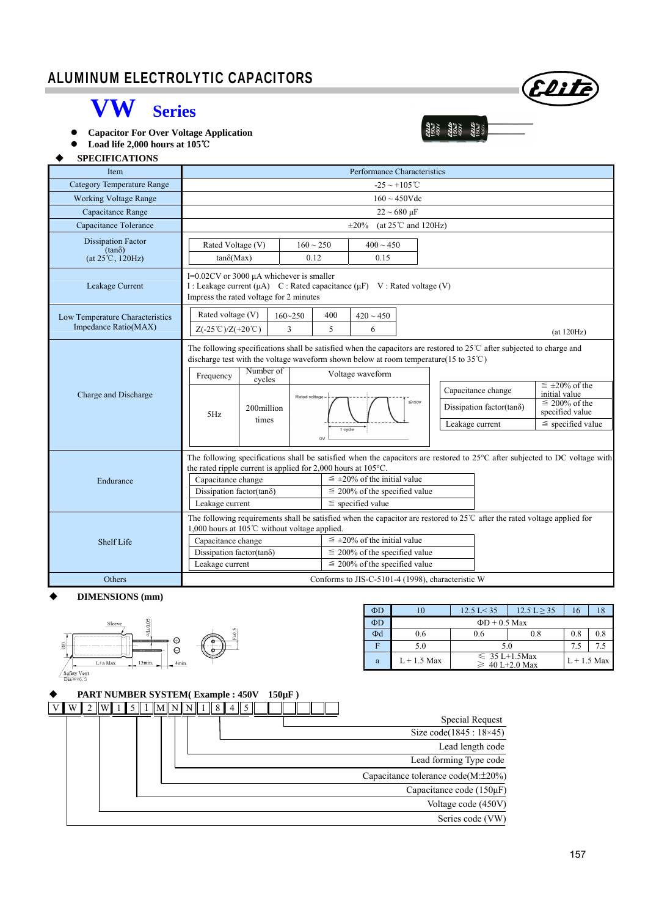# I ALUMINUM ELECTROLYTIC CAPACITORS



 **Capacitor For Over Voltage Application** 

 **Load life 2,000 hours at 105**℃

### **SPECIFICATIONS**

| <b>Item</b>                                                             | Performance Characteristics                                                                                                                                                           |                                                                                                                                                                                                                                                                                                                                                                                                                                               |                        |                                                                                                                                                                                                                                                                                                               |                        |  |  |            |                                                                                                             |  |  |  |  |
|-------------------------------------------------------------------------|---------------------------------------------------------------------------------------------------------------------------------------------------------------------------------------|-----------------------------------------------------------------------------------------------------------------------------------------------------------------------------------------------------------------------------------------------------------------------------------------------------------------------------------------------------------------------------------------------------------------------------------------------|------------------------|---------------------------------------------------------------------------------------------------------------------------------------------------------------------------------------------------------------------------------------------------------------------------------------------------------------|------------------------|--|--|------------|-------------------------------------------------------------------------------------------------------------|--|--|--|--|
| <b>Category Temperature Range</b>                                       | $-25 \sim +105^{\circ}$ C                                                                                                                                                             |                                                                                                                                                                                                                                                                                                                                                                                                                                               |                        |                                                                                                                                                                                                                                                                                                               |                        |  |  |            |                                                                                                             |  |  |  |  |
| <b>Working Voltage Range</b>                                            | $160 \sim 450$ Vdc                                                                                                                                                                    |                                                                                                                                                                                                                                                                                                                                                                                                                                               |                        |                                                                                                                                                                                                                                                                                                               |                        |  |  |            |                                                                                                             |  |  |  |  |
| Capacitance Range                                                       | $22 \sim 680 \,\mu F$                                                                                                                                                                 |                                                                                                                                                                                                                                                                                                                                                                                                                                               |                        |                                                                                                                                                                                                                                                                                                               |                        |  |  |            |                                                                                                             |  |  |  |  |
| Capacitance Tolerance                                                   | (at $25^{\circ}$ C and $120$ Hz)<br>$\pm 20\%$                                                                                                                                        |                                                                                                                                                                                                                                                                                                                                                                                                                                               |                        |                                                                                                                                                                                                                                                                                                               |                        |  |  |            |                                                                                                             |  |  |  |  |
| <b>Dissipation Factor</b><br>$(tan\delta)$<br>$(at 25^{\circ}C, 120Hz)$ | Rated Voltage (V)<br>$tan\delta(Max)$                                                                                                                                                 |                                                                                                                                                                                                                                                                                                                                                                                                                                               | $160 \sim 250$<br>0.12 |                                                                                                                                                                                                                                                                                                               | $400 \sim 450$<br>0.15 |  |  |            |                                                                                                             |  |  |  |  |
| Leakage Current                                                         | I= $0.02$ CV or 3000 $\mu$ A whichever is smaller<br>I : Leakage current ( $\mu$ A) C : Rated capacitance ( $\mu$ F) V : Rated voltage (V)<br>Impress the rated voltage for 2 minutes |                                                                                                                                                                                                                                                                                                                                                                                                                                               |                        |                                                                                                                                                                                                                                                                                                               |                        |  |  |            |                                                                                                             |  |  |  |  |
| Low Temperature Characteristics                                         | Rated voltage (V)                                                                                                                                                                     | $160 - 250$                                                                                                                                                                                                                                                                                                                                                                                                                                   |                        | 400                                                                                                                                                                                                                                                                                                           | $420 \sim 450$         |  |  |            |                                                                                                             |  |  |  |  |
| Impedance Ratio(MAX)                                                    | $Z(-25^{\circ}\text{C})/Z(+20^{\circ}\text{C})$                                                                                                                                       |                                                                                                                                                                                                                                                                                                                                                                                                                                               | 5                      | 6                                                                                                                                                                                                                                                                                                             |                        |  |  | (at 120Hz) |                                                                                                             |  |  |  |  |
| Charge and Discharge                                                    | Frequency<br>5Hz                                                                                                                                                                      | The following specifications shall be satisfied when the capacitors are restored to $25^{\circ}$ C after subjected to charge and<br>discharge test with the voltage waveform shown below at room temperature (15 to $35^{\circ}$ C)<br>Number of<br>Voltage waveform<br>cycles<br>Capacitance change<br>Rated voltage -<br>$\leq 150V$<br>Dissipation factor(tan $\delta$ )<br>200million<br>times<br>Leakage current<br>1 cycle<br><b>OV</b> |                        |                                                                                                                                                                                                                                                                                                               |                        |  |  |            | $\leq \pm 20\%$ of the<br>initial value<br>$\equiv$ 200% of the<br>specified value<br>$\le$ specified value |  |  |  |  |
| Endurance                                                               | Capacitance change<br>Dissipation factor(tan $\delta$ )<br>Leakage current                                                                                                            |                                                                                                                                                                                                                                                                                                                                                                                                                                               |                        | The following specifications shall be satisfied when the capacitors are restored to 25°C after subjected to DC voltage with<br>the rated ripple current is applied for 2,000 hours at $105^{\circ}$ C.<br>$\leq \pm 20\%$ of the initial value<br>$\leq$ 200% of the specified value<br>$\le$ specified value |                        |  |  |            |                                                                                                             |  |  |  |  |
| Shelf Life<br>Others                                                    | 1,000 hours at 105 $\degree$ C without voltage applied.<br>Capacitance change<br>Dissipation factor(tano)<br>Leakage current                                                          | The following requirements shall be satisfied when the capacitor are restored to $25^{\circ}$ after the rated voltage applied for<br>$\leq \pm 20\%$ of the initial value<br>$\leq$ 200% of the specified value<br>$\leq$ 200% of the specified value<br>Conforms to JIS-C-5101-4 (1998), characteristic W                                                                                                                                    |                        |                                                                                                                                                                                                                                                                                                               |                        |  |  |            |                                                                                                             |  |  |  |  |
|                                                                         |                                                                                                                                                                                       |                                                                                                                                                                                                                                                                                                                                                                                                                                               |                        |                                                                                                                                                                                                                                                                                                               |                        |  |  |            |                                                                                                             |  |  |  |  |

#### **DIMENSIONS (mm)**



| $\Phi$ D | l O           | $12.5$ L $< 35$    | 12.5 L > 35                                | 16  |     |  |  |  |  |  |
|----------|---------------|--------------------|--------------------------------------------|-----|-----|--|--|--|--|--|
| $\Phi$ D |               | $\Phi$ D + 0.5 Max |                                            |     |     |  |  |  |  |  |
| Φd       | 0.6           | 0.6                | 0.8                                        | 0.8 | 0.8 |  |  |  |  |  |
| п        | 5.0           | 5.0                | 7.5                                        |     |     |  |  |  |  |  |
| a        | $L + 1.5$ Max |                    | $\leq 35 L+1.5$ Max<br>$\geq 40$ L+2.0 Max |     |     |  |  |  |  |  |

|  | <b>PART NUMBER SYSTEM(Example: 450V)</b> |  |  |  |  |  |  |  |  | $150\mu F$ ) |  |  |  |                                    |
|--|------------------------------------------|--|--|--|--|--|--|--|--|--------------|--|--|--|------------------------------------|
|  |                                          |  |  |  |  |  |  |  |  |              |  |  |  |                                    |
|  |                                          |  |  |  |  |  |  |  |  |              |  |  |  | Special Request                    |
|  |                                          |  |  |  |  |  |  |  |  |              |  |  |  | Size code $(1845 : 18 \times 45)$  |
|  |                                          |  |  |  |  |  |  |  |  |              |  |  |  | Lead length code                   |
|  |                                          |  |  |  |  |  |  |  |  |              |  |  |  | Lead forming Type code             |
|  |                                          |  |  |  |  |  |  |  |  |              |  |  |  | Capacitance tolerance code(M:±20%) |
|  |                                          |  |  |  |  |  |  |  |  |              |  |  |  | Capacitance code $(150 \mu F)$     |
|  |                                          |  |  |  |  |  |  |  |  |              |  |  |  | Voltage code (450V)                |
|  |                                          |  |  |  |  |  |  |  |  |              |  |  |  | Series code (VW)                   |

Elite

22225<br>15004<br>45004<br>45004<br>45004<br>15004<br>45004